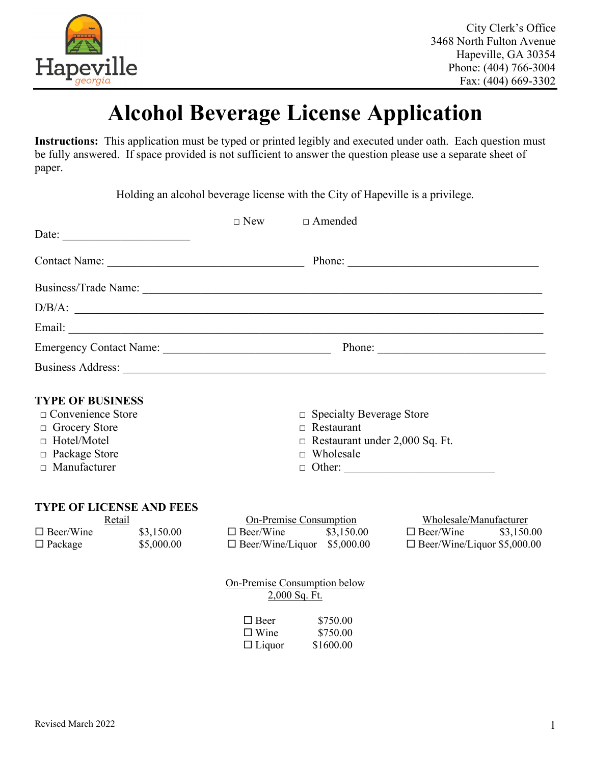

## **Alcohol Beverage License Application**

**Instructions:** This application must be typed or printed legibly and executed under oath. Each question must be fully answered. If space provided is not sufficient to answer the question please use a separate sheet of paper.

Holding an alcohol beverage license with the City of Hapeville is a privilege.

| Date:                                                                                                                                            |                          |                                             | $\Box$ New $\Box$ Amended                                                                                            |                                                                            |
|--------------------------------------------------------------------------------------------------------------------------------------------------|--------------------------|---------------------------------------------|----------------------------------------------------------------------------------------------------------------------|----------------------------------------------------------------------------|
|                                                                                                                                                  |                          |                                             |                                                                                                                      |                                                                            |
|                                                                                                                                                  |                          |                                             |                                                                                                                      |                                                                            |
| D/B/A:                                                                                                                                           |                          |                                             |                                                                                                                      |                                                                            |
|                                                                                                                                                  |                          |                                             |                                                                                                                      |                                                                            |
|                                                                                                                                                  |                          |                                             |                                                                                                                      |                                                                            |
|                                                                                                                                                  |                          |                                             |                                                                                                                      |                                                                            |
| <b>TYPE OF BUSINESS</b><br>$\Box$ Convenience Store<br>$\Box$ Grocery Store<br>$\Box$ Hotel/Motel<br>$\Box$ Package Store<br>$\Box$ Manufacturer |                          |                                             | $\Box$ Specialty Beverage Store<br>$\Box$ Restaurant<br>$\Box$ Restaurant under 2,000 Sq. Ft.<br>$\Box$ Wholesale    |                                                                            |
| <b>TYPE OF LICENSE AND FEES</b><br>Retail<br>$\Box$ Beer/Wine<br>$\Box$ Package                                                                  | \$3,150.00<br>\$5,000.00 |                                             | <b>On-Premise Consumption</b><br>$\Box$ Beer/Wine $$3,150.00$ $\Box$ Beer/Wine<br>$\Box$ Beer/Wine/Liquor \$5,000.00 | Wholesale/Manufacturer<br>\$3,150.00<br>$\Box$ Beer/Wine/Liquor \$5,000.00 |
|                                                                                                                                                  |                          |                                             | On-Premise Consumption below<br>2,000 Sq. Ft.                                                                        |                                                                            |
|                                                                                                                                                  |                          | $\Box$ Beer<br>$\Box$ Wine<br>$\Box$ Liquor | \$750.00<br>\$750.00<br>\$1600.00                                                                                    |                                                                            |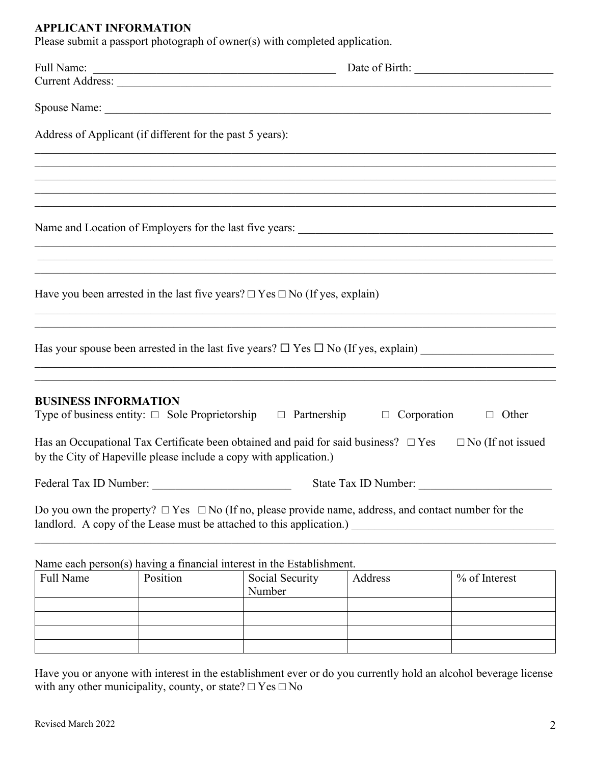## **APPLICANT INFORMATION**

Please submit a passport photograph of owner(s) with completed application.

| Address of Applicant (if different for the past 5 years): |          |                                                                                                                |                      |                                                                                                                       |
|-----------------------------------------------------------|----------|----------------------------------------------------------------------------------------------------------------|----------------------|-----------------------------------------------------------------------------------------------------------------------|
|                                                           |          |                                                                                                                |                      |                                                                                                                       |
|                                                           |          |                                                                                                                |                      | <u> 1989 - Andrea Santa Andrea Andrea Santa Andrea Santa Andrea Santa Andrea Santa Andrea Santa Andrea Santa Andr</u> |
|                                                           |          |                                                                                                                |                      |                                                                                                                       |
|                                                           |          |                                                                                                                |                      |                                                                                                                       |
|                                                           |          | Have you been arrested in the last five years? $\Box$ Yes $\Box$ No (If yes, explain)                          |                      |                                                                                                                       |
|                                                           |          |                                                                                                                |                      | ,我们也不能在这里的人,我们也不能在这里的人,我们也不能在这里的人,我们也不能在这里的人,我们也不能在这里的人,我们也不能在这里的人,我们也不能在这里的人,我们也                                     |
| <b>BUSINESS INFORMATION</b>                               |          | Type of business entity: $\Box$ Sole Proprietorship $\Box$ Partnership $\Box$ Corporation $\Box$ Other         |                      |                                                                                                                       |
|                                                           |          | by the City of Hapeville please include a copy with application.)                                              |                      | Has an Occupational Tax Certificate been obtained and paid for said business? $\Box$ Yes $\Box$ No (If not issued     |
| Federal Tax ID Number:                                    |          |                                                                                                                | State Tax ID Number: |                                                                                                                       |
|                                                           |          | Do you own the property? $\Box$ Yes $\Box$ No (If no, please provide name, address, and contact number for the |                      |                                                                                                                       |
|                                                           |          | Name each person(s) having a financial interest in the Establishment.                                          |                      |                                                                                                                       |
| Full Name                                                 | Position | Social Security<br>Number                                                                                      | Address              | % of Interest                                                                                                         |
|                                                           |          |                                                                                                                |                      |                                                                                                                       |

Have you or anyone with interest in the establishment ever or do you currently hold an alcohol beverage license with any other municipality, county, or state?  $\Box$  Yes  $\Box$  No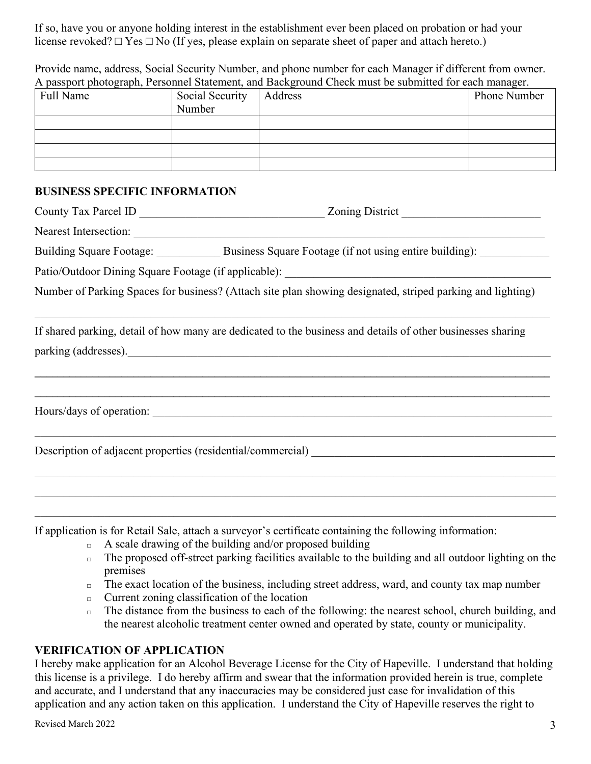If so, have you or anyone holding interest in the establishment ever been placed on probation or had your license revoked?  $\Box$  Yes  $\Box$  No (If yes, please explain on separate sheet of paper and attach hereto.)

Provide name, address, Social Security Number, and phone number for each Manager if different from owner. A passport photograph, Personnel Statement, and Background Check must be submitted for each manager.

| Full Name | Social Security | Address | Phone Number |
|-----------|-----------------|---------|--------------|
|           | Number          |         |              |
|           |                 |         |              |
|           |                 |         |              |
|           |                 |         |              |
|           |                 |         |              |

## **BUSINESS SPECIFIC INFORMATION**

|  | Nearest Intersection:                                                                                                               |  |
|--|-------------------------------------------------------------------------------------------------------------------------------------|--|
|  | Building Square Footage: Business Square Footage (if not using entire building): ___________                                        |  |
|  |                                                                                                                                     |  |
|  | Number of Parking Spaces for business? (Attach site plan showing designated, striped parking and lighting)                          |  |
|  | If shared parking, detail of how many are dedicated to the business and details of other businesses sharing<br>parking (addresses). |  |
|  | Hours/days of operation:                                                                                                            |  |
|  |                                                                                                                                     |  |
|  |                                                                                                                                     |  |
|  |                                                                                                                                     |  |

If application is for Retail Sale, attach a surveyor's certificate containing the following information:

- $\Box$  A scale drawing of the building and/or proposed building
- $\Box$  The proposed off-street parking facilities available to the building and all outdoor lighting on the premises
- $\Box$  The exact location of the business, including street address, ward, and county tax map number
- $\Box$  Current zoning classification of the location
- $\Box$  The distance from the business to each of the following: the nearest school, church building, and the nearest alcoholic treatment center owned and operated by state, county or municipality.

## **VERIFICATION OF APPLICATION**

I hereby make application for an Alcohol Beverage License for the City of Hapeville. I understand that holding this license is a privilege. I do hereby affirm and swear that the information provided herein is true, complete and accurate, and I understand that any inaccuracies may be considered just case for invalidation of this application and any action taken on this application. I understand the City of Hapeville reserves the right to